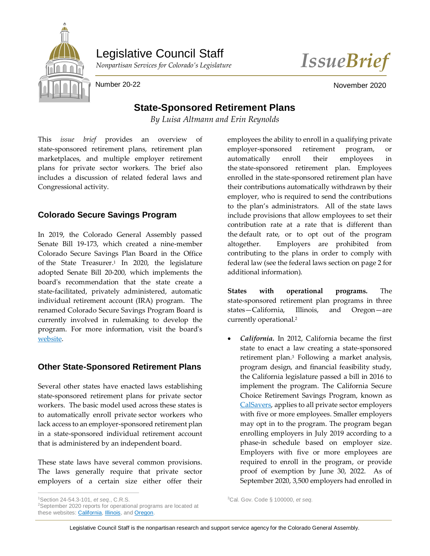

Legislative Council Staff



Number 20-22 November 2020

## **State-Sponsored Retirement Plans**

*By Luisa Altmann and Erin Reynolds*

This *issue brief* provides an overview of state-sponsored retirement plans, retirement plan marketplaces, and multiple employer retirement plans for private sector workers. The brief also includes a discussion of related federal laws and Congressional activity.

## **Colorado Secure Savings Program**

In 2019, the Colorado General Assembly passed Senate Bill 19-173, which created a nine-member Colorado Secure Savings Plan Board in the Office of the State Treasurer. <sup>1</sup> In 2020, the legislature adopted Senate Bill 20-200, which implements the board's recommendation that the state create a state-facilitated, privately administered, automatic individual retirement account (IRA) program. The renamed Colorado Secure Savings Program Board is currently involved in rulemaking to develop the program. For more information, visit the board's [website.](https://www.colorado.gov/pacific/treasury/colorado-secure-savings-program-board)

## **Other State-Sponsored Retirement Plans**

Several other states have enacted laws establishing state-sponsored retirement plans for private sector workers. The basic model used across these states is to automatically enroll private sector workers who lack access to an employer-sponsored retirement plan in a state-sponsored individual retirement account that is administered by an independent board.

These state laws have several common provisions. The laws generally require that private sector employers of a certain size either offer their employees the ability to enroll in a qualifying private employer-sponsored retirement program, or automatically enroll their employees in the state-sponsored retirement plan. Employees enrolled in the state-sponsored retirement plan have their contributions automatically withdrawn by their employer, who is required to send the contributions to the plan's administrators. All of the state laws include provisions that allow employees to set their contribution rate at a rate that is different than the default rate, or to opt out of the program altogether. Employers are prohibited from contributing to the plans in order to comply with federal law (see the federal laws section on page 2 for additional information).

**States with operational programs.** The state-sponsored retirement plan programs in three states—California, Illinois, and Oregon—are currently operational.<sup>2</sup>

 *California.* In 2012, California became the first state to enact a law creating a state-sponsored retirement plan.<sup>3</sup> Following a market analysis, program design, and financial feasibility study, the California legislature passed a bill in 2016 to implement the program. The California Secure Choice Retirement Savings Program, known as [CalSavers,](https://www.calsavers.com/) applies to all private sector employers with five or more employees. Smaller employers may opt in to the program. The program began enrolling employers in July 2019 according to a phase-in schedule based on employer size. Employers with five or more employees are required to enroll in the program, or provide proof of exemption by June 30, 2022. As of September 2020, 3,500 employers had enrolled in

 $\overline{a}$ 

Legislative Council Staff is the nonpartisan research and support service agency for the Colorado General Assembly.

<sup>3</sup>Cal. Gov. Code § 100000, *et seq.*

<sup>1</sup>Section 24-54.3-101, *et seq.*, C.R.S.

<sup>2</sup>September 2020 reports for operational programs are located at these websites: [California,](https://www.treasurer.ca.gov/calsavers/reports/participation/calSavers-participation-and-funding-snapshot-20200930.pdf) [Illinois,](https://illinoistreasurergovprod.blob.core.usgovcloudapi.net/twocms/media/doc/secure%20choice%20monthly%20dashboard_september%202020.pdf) and [Oregon.](https://www.oregon.gov/treasury/financial-empowerment/Documents/ors-board-meeting-minutes/2020/2020-09-Program-Report-OregonSaves-Monthly.pdf)